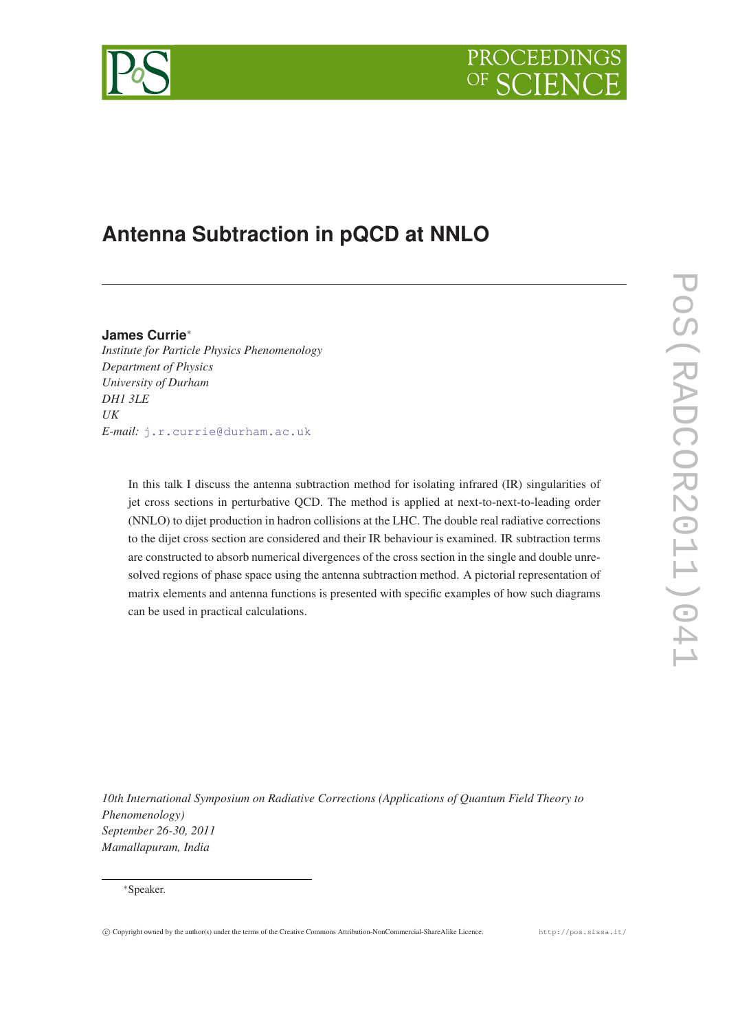



# **Antenna Subtraction in pQCD at NNLO**

**James Currie**<sup>∗</sup> *Institute for Particle Physics Phenomenology Department of Physics University of Durham DH1 3LE UK E-mail:* [j.r.currie@durham.ac.uk](mailto:j.r.currie@durham.ac.uk)

> In this talk I discuss the antenna subtraction method for isolating infrared (IR) singularities of jet cross sections in perturbative QCD. The method is applied at next-to-next-to-leading order (NNLO) to dijet production in hadron collisions at the LHC. The double real radiative corrections to the dijet cross section are considered and their IR behaviour is examined. IR subtraction terms are constructed to absorb numerical divergences of the cross section in the single and double unresolved regions of phase space using the antenna subtraction method. A pictorial representation of matrix elements and antenna functions is presented with specific examples of how such diagrams can be used in practical calculations.

*10th International Symposium on Radiative Corrections (Applications of Quantum Field Theory to Phenomenology) September 26-30, 2011 Mamallapuram, India*

c Copyright owned by the author(s) under the terms of the Creative Commons Attribution-NonCommercial-ShareAlike Licence. http://pos.sissa.it/

<sup>∗</sup>Speaker.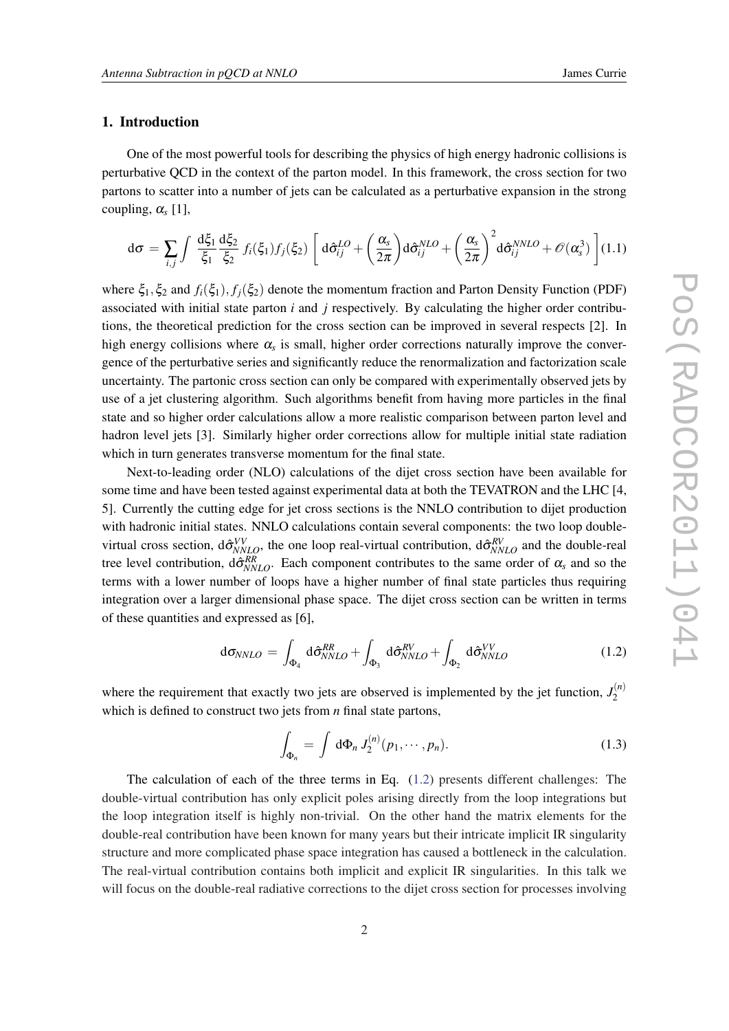## 1. Introduction

One of the most powerful tools for describing the physics of high energy hadronic collisions is perturbative QCD in the context of the parton model. In this framework, the cross section for two partons to scatter into a number of jets can be calculated as a perturbative expansion in the strong coupling,  $\alpha_s$  [1],

$$
d\sigma = \sum_{i,j} \int \frac{d\xi_1}{\xi_1} \frac{d\xi_2}{\xi_2} f_i(\xi_1) f_j(\xi_2) \left[ d\hat{\sigma}_{ij}^{LO} + \left(\frac{\alpha_s}{2\pi}\right) d\hat{\sigma}_{ij}^{NLO} + \left(\frac{\alpha_s}{2\pi}\right)^2 d\hat{\sigma}_{ij}^{NNO} + \mathcal{O}(\alpha_s^3) \right] (1.1)
$$

where  $\xi_1, \xi_2$  and  $f_i(\xi_1), f_i(\xi_2)$  denote the momentum fraction and Parton Density Function (PDF) associated with initial state parton *i* and *j* respectively. By calculating the higher order contributions, the theoretical prediction for the cross section can be improved in several respects [2]. In high energy collisions where  $\alpha_s$  is small, higher order corrections naturally improve the convergence of the perturbative series and significantly reduce the renormalization and factorization scale uncertainty. The partonic cross section can only be compared with experimentally observed jets by use of a jet clustering algorithm. Such algorithms benefit from having more particles in the final state and so higher order calculations allow a more realistic comparison between parton level and hadron level jets [3]. Similarly higher order corrections allow for multiple initial state radiation which in turn generates transverse momentum for the final state.

Next-to-leading order (NLO) calculations of the dijet cross section have been available for some time and have been tested against experimental data at both the TEVATRON and the LHC [4, 5]. Currently the cutting edge for jet cross sections is the NNLO contribution to dijet production with hadronic initial states. NNLO calculations contain several components: the two loop doublevirtual cross section,  $d\hat{\sigma}_{NNLO}^{VV}$ , the one loop real-virtual contribution,  $d\hat{\sigma}_{NNLO}^{RV}$  and the double-real tree level contribution,  $d\hat{\sigma}_{NNLO}^{RR}$ . Each component contributes to the same order of  $\alpha_s$  and so the terms with a lower number of loops have a higher number of final state particles thus requiring integration over a larger dimensional phase space. The dijet cross section can be written in terms of these quantities and expressed as [6],

$$
d\sigma_{NNLO} = \int_{\Phi_4} d\hat{\sigma}_{NNLO}^{RR} + \int_{\Phi_3} d\hat{\sigma}_{NNLO}^{RV} + \int_{\Phi_2} d\hat{\sigma}_{NNLO}^{VV} \qquad (1.2)
$$

where the requirement that exactly two jets are observed is implemented by the jet function,  $J_2^{(n)}$ 2 which is defined to construct two jets from *n* final state partons,

$$
\int_{\Phi_n} = \int \, \mathrm{d}\Phi_n \, J_2^{(n)}(p_1, \cdots, p_n). \tag{1.3}
$$

The calculation of each of the three terms in Eq. (1.2) presents different challenges: The double-virtual contribution has only explicit poles arising directly from the loop integrations but the loop integration itself is highly non-trivial. On the other hand the matrix elements for the double-real contribution have been known for many years but their intricate implicit IR singularity structure and more complicated phase space integration has caused a bottleneck in the calculation. The real-virtual contribution contains both implicit and explicit IR singularities. In this talk we will focus on the double-real radiative corrections to the dijet cross section for processes involving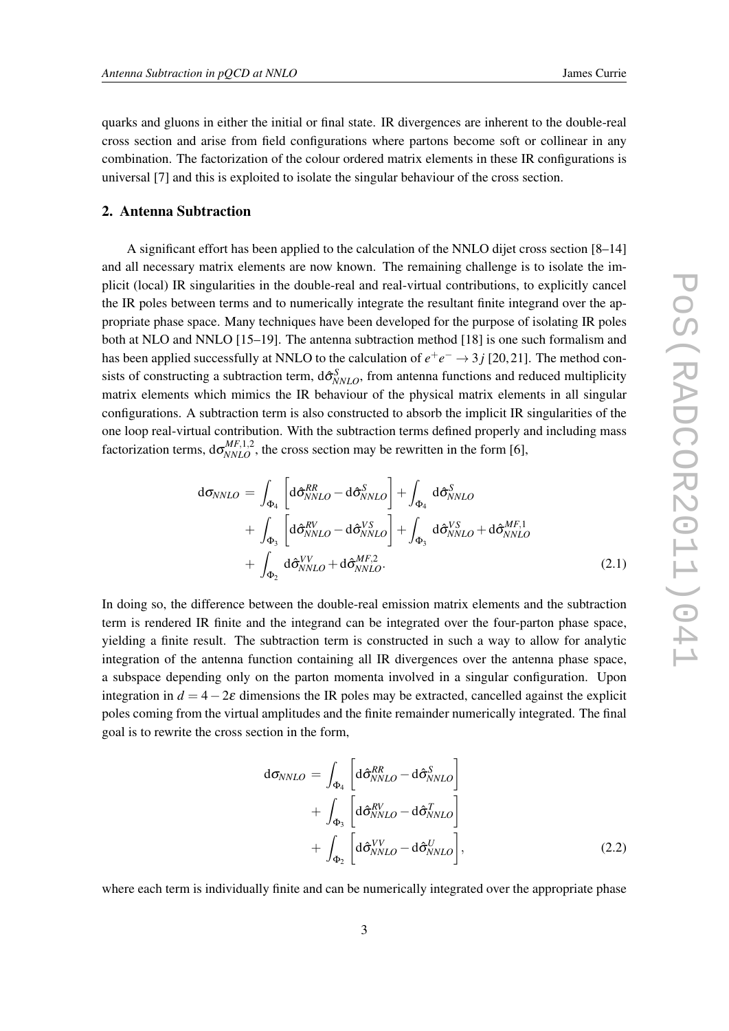quarks and gluons in either the initial or final state. IR divergences are inherent to the double-real cross section and arise from field configurations where partons become soft or collinear in any combination. The factorization of the colour ordered matrix elements in these IR configurations is universal [7] and this is exploited to isolate the singular behaviour of the cross section.

# 2. Antenna Subtraction

A significant effort has been applied to the calculation of the NNLO dijet cross section [8–14] and all necessary matrix elements are now known. The remaining challenge is to isolate the implicit (local) IR singularities in the double-real and real-virtual contributions, to explicitly cancel the IR poles between terms and to numerically integrate the resultant finite integrand over the appropriate phase space. Many techniques have been developed for the purpose of isolating IR poles both at NLO and NNLO [15–19]. The antenna subtraction method [18] is one such formalism and has been applied successfully at NNLO to the calculation of  $e^+e^- \rightarrow 3j$  [20,21]. The method consists of constructing a subtraction term,  $d\hat{\sigma}_{NNLO}^S$ , from antenna functions and reduced multiplicity matrix elements which mimics the IR behaviour of the physical matrix elements in all singular configurations. A subtraction term is also constructed to absorb the implicit IR singularities of the one loop real-virtual contribution. With the subtraction terms defined properly and including mass factorization terms,  $d\sigma_{NNLO}^{MF,1,2}$ , the cross section may be rewritten in the form [6],

$$
d\sigma_{NNLO} = \int_{\Phi_4} \left[ d\hat{\sigma}_{NNLO}^{RR} - d\hat{\sigma}_{NNLO}^{S} \right] + \int_{\Phi_4} d\hat{\sigma}_{NNLO}^{S}
$$
  
+ 
$$
\int_{\Phi_3} \left[ d\hat{\sigma}_{NNLO}^{RV} - d\hat{\sigma}_{NNLO}^{VS} \right] + \int_{\Phi_3} d\hat{\sigma}_{NNLO}^{VS} + d\hat{\sigma}_{NNLO}^{MF,1}
$$
  
+ 
$$
\int_{\Phi_2} d\hat{\sigma}_{NNLO}^{VV} + d\hat{\sigma}_{NNLO}^{MF,2}.
$$
 (2.1)

In doing so, the difference between the double-real emission matrix elements and the subtraction term is rendered IR finite and the integrand can be integrated over the four-parton phase space, yielding a finite result. The subtraction term is constructed in such a way to allow for analytic integration of the antenna function containing all IR divergences over the antenna phase space, a subspace depending only on the parton momenta involved in a singular configuration. Upon integration in  $d = 4-2\varepsilon$  dimensions the IR poles may be extracted, cancelled against the explicit poles coming from the virtual amplitudes and the finite remainder numerically integrated. The final goal is to rewrite the cross section in the form,

$$
d\sigma_{NNLO} = \int_{\Phi_4} \left[ d\hat{\sigma}_{NNLO}^{RR} - d\hat{\sigma}_{NNLO}^{S} \right] + \int_{\Phi_3} \left[ d\hat{\sigma}_{NNLO}^{RV} - d\hat{\sigma}_{NNLO}^{T} \right] + \int_{\Phi_2} \left[ d\hat{\sigma}_{NNLO}^{VV} - d\hat{\sigma}_{NNLO}^{U} \right], \tag{2.2}
$$

where each term is individually finite and can be numerically integrated over the appropriate phase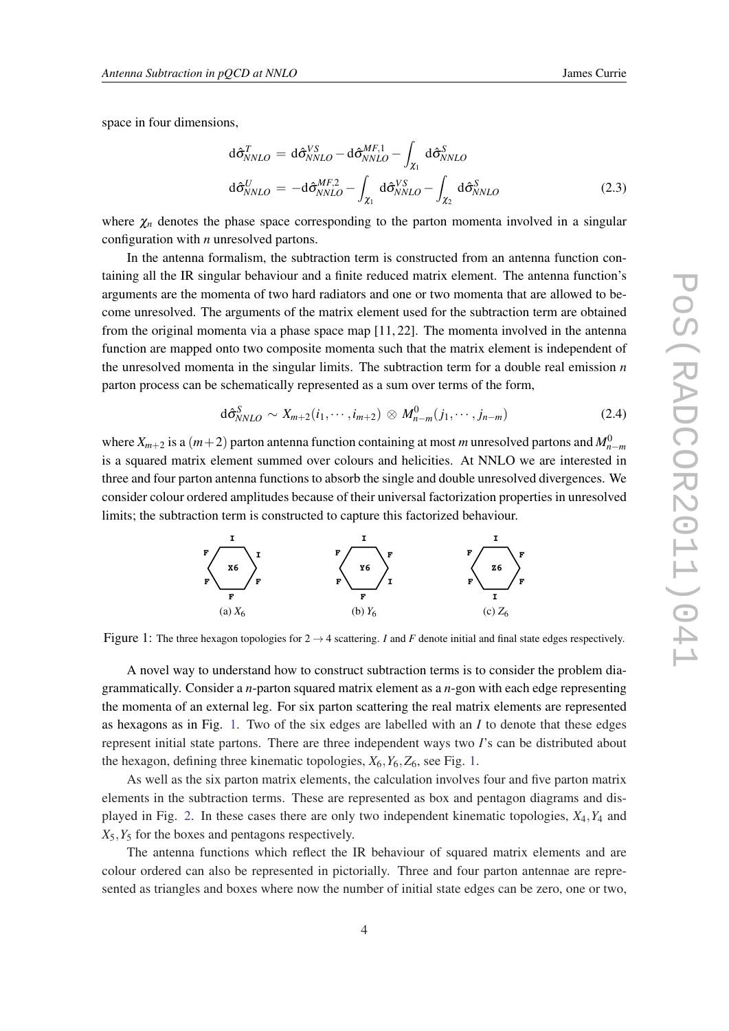space in four dimensions,

$$
d\hat{\sigma}_{NNLO}^{T} = d\hat{\sigma}_{NNLO}^{VS} - d\hat{\sigma}_{NNLO}^{MF,1} - \int_{\chi_{1}} d\hat{\sigma}_{NNLO}^{S}
$$

$$
d\hat{\sigma}_{NNLO}^{U} = -d\hat{\sigma}_{NNLO}^{MF,2} - \int_{\chi_{1}} d\hat{\sigma}_{NNLO}^{VS} - \int_{\chi_{2}} d\hat{\sigma}_{NNLO}^{S}
$$
(2.3)

where  $\chi_n$  denotes the phase space corresponding to the parton momenta involved in a singular configuration with *n* unresolved partons.

In the antenna formalism, the subtraction term is constructed from an antenna function containing all the IR singular behaviour and a finite reduced matrix element. The antenna function's arguments are the momenta of two hard radiators and one or two momenta that are allowed to become unresolved. The arguments of the matrix element used for the subtraction term are obtained from the original momenta via a phase space map [11, 22]. The momenta involved in the antenna function are mapped onto two composite momenta such that the matrix element is independent of the unresolved momenta in the singular limits. The subtraction term for a double real emission *n* parton process can be schematically represented as a sum over terms of the form,

$$
\mathrm{d}\hat{\sigma}_{NNLO}^S \sim X_{m+2}(i_1,\cdots,i_{m+2}) \otimes M_{n-m}^0(j_1,\cdots,j_{n-m}) \tag{2.4}
$$

where  $X_{m+2}$  is a  $(m+2)$  parton antenna function containing at most *m* unresolved partons and  $M_{n-m}^0$ is a squared matrix element summed over colours and helicities. At NNLO we are interested in three and four parton antenna functions to absorb the single and double unresolved divergences. We consider colour ordered amplitudes because of their universal factorization properties in unresolved limits; the subtraction term is constructed to capture this factorized behaviour.



Figure 1: The three hexagon topologies for  $2 \rightarrow 4$  scattering. *I* and *F* denote initial and final state edges respectively.

A novel way to understand how to construct subtraction terms is to consider the problem diagrammatically. Consider a *n*-parton squared matrix element as a *n*-gon with each edge representing the momenta of an external leg. For six parton scattering the real matrix elements are represented as hexagons as in Fig. 1. Two of the six edges are labelled with an *I* to denote that these edges represent initial state partons. There are three independent ways two *I*'s can be distributed about the hexagon, defining three kinematic topologies,  $X_6, Y_6, Z_6$ , see Fig. 1.

As well as the six parton matrix elements, the calculation involves four and five parton matrix elements in the subtraction terms. These are represented as box and pentagon diagrams and displayed in Fig. [2.](#page-4-0) In these cases there are only two independent kinematic topologies, *X*4,*Y*<sup>4</sup> and  $X_5, Y_5$  for the boxes and pentagons respectively.

The antenna functions which reflect the IR behaviour of squared matrix elements and are colour ordered can also be represented in pictorially. Three and four parton antennae are represented as triangles and boxes where now the number of initial state edges can be zero, one or two,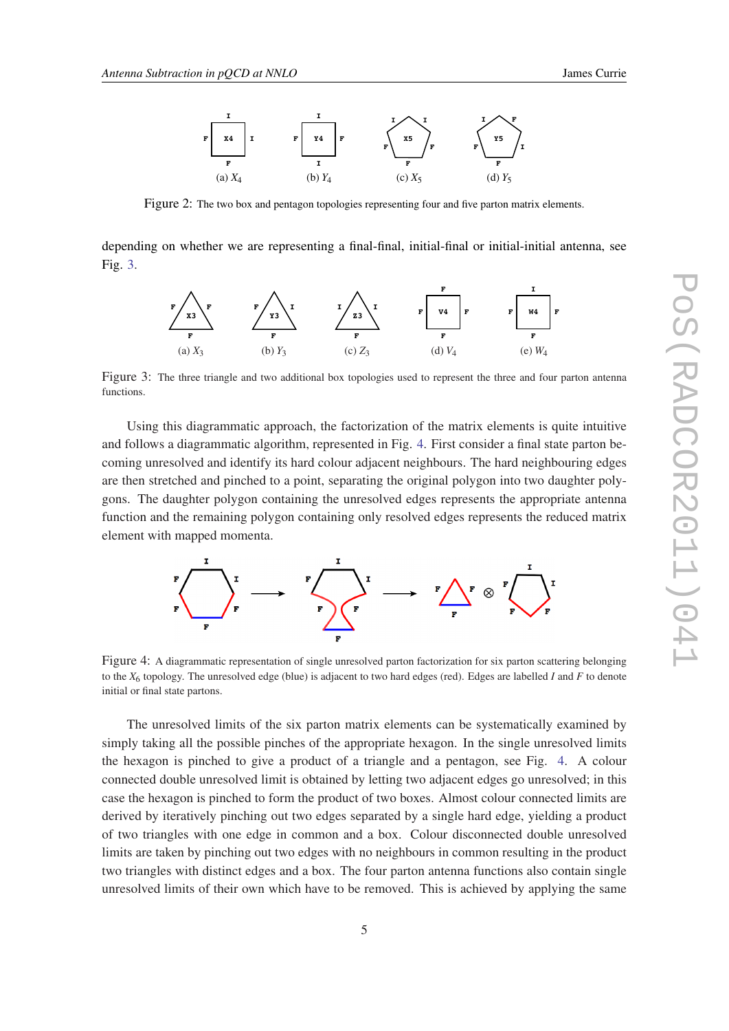<span id="page-4-0"></span>

Figure 2: The two box and pentagon topologies representing four and five parton matrix elements.

depending on whether we are representing a final-final, initial-final or initial-initial antenna, see Fig. 3.



Figure 3: The three triangle and two additional box topologies used to represent the three and four parton antenna functions.

Using this diagrammatic approach, the factorization of the matrix elements is quite intuitive and follows a diagrammatic algorithm, represented in Fig. 4. First consider a final state parton becoming unresolved and identify its hard colour adjacent neighbours. The hard neighbouring edges are then stretched and pinched to a point, separating the original polygon into two daughter polygons. The daughter polygon containing the unresolved edges represents the appropriate antenna function and the remaining polygon containing only resolved edges represents the reduced matrix element with mapped momenta.



Figure 4: A diagrammatic representation of single unresolved parton factorization for six parton scattering belonging to the *X*<sup>6</sup> topology. The unresolved edge (blue) is adjacent to two hard edges (red). Edges are labelled *I* and *F* to denote initial or final state partons.

The unresolved limits of the six parton matrix elements can be systematically examined by simply taking all the possible pinches of the appropriate hexagon. In the single unresolved limits the hexagon is pinched to give a product of a triangle and a pentagon, see Fig. 4. A colour connected double unresolved limit is obtained by letting two adjacent edges go unresolved; in this case the hexagon is pinched to form the product of two boxes. Almost colour connected limits are derived by iteratively pinching out two edges separated by a single hard edge, yielding a product of two triangles with one edge in common and a box. Colour disconnected double unresolved limits are taken by pinching out two edges with no neighbours in common resulting in the product two triangles with distinct edges and a box. The four parton antenna functions also contain single unresolved limits of their own which have to be removed. This is achieved by applying the same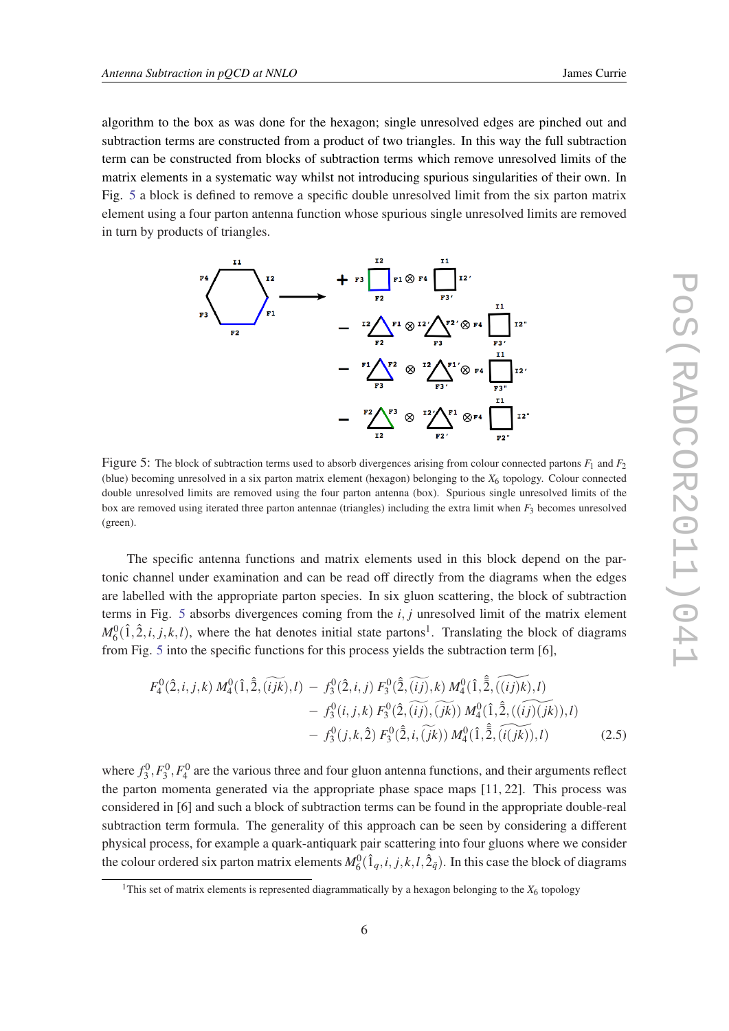<span id="page-5-0"></span>algorithm to the box as was done for the hexagon; single unresolved edges are pinched out and subtraction terms are constructed from a product of two triangles. In this way the full subtraction term can be constructed from blocks of subtraction terms which remove unresolved limits of the matrix elements in a systematic way whilst not introducing spurious singularities of their own. In

Fig. 5 a block is defined to remove a specific double unresolved limit from the six parton matrix element using a four parton antenna function whose spurious single unresolved limits are removed in turn by products of triangles.



Figure 5: The block of subtraction terms used to absorb divergences arising from colour connected partons  $F_1$  and  $F_2$ (blue) becoming unresolved in a six parton matrix element (hexagon) belonging to the  $X<sub>6</sub>$  topology. Colour connected double unresolved limits are removed using the four parton antenna (box). Spurious single unresolved limits of the box are removed using iterated three parton antennae (triangles) including the extra limit when *F*<sup>3</sup> becomes unresolved (green).

The specific antenna functions and matrix elements used in this block depend on the partonic channel under examination and can be read off directly from the diagrams when the edges are labelled with the appropriate parton species. In six gluon scattering, the block of subtraction terms in Fig. 5 absorbs divergences coming from the *i*, *j* unresolved limit of the matrix element  $M_6^0(1, 2, i, j, k, l)$ , where the hat denotes initial state partons<sup>1</sup>. Translating the block of diagrams from Fig. 5 into the specific functions for this process yields the subtraction term [6],

$$
F_4^0(\hat{2}, i, j, k) M_4^0(\hat{1}, \hat{2}, (\widetilde{ijk}), l) - f_3^0(\hat{2}, i, j) F_3^0(\hat{2}, (\widetilde{ij}), k) M_4^0(\hat{1}, \hat{\bar{2}}, (\widetilde{(ij)}k), l) - f_3^0(i, j, k) F_3^0(\hat{2}, (\widetilde{ij}), (\widetilde{jk})) M_4^0(\hat{1}, \hat{\bar{2}}, (\widetilde{(ij)}(jk)), l) - f_3^0(j, k, \hat{2}) F_3^0(\hat{\bar{2}}, i, (\widetilde{jk})) M_4^0(\hat{1}, \hat{\bar{2}}, (\widetilde{i}(jk)), l)
$$
(2.5)

where  $f_3^0$ ,  $F_3^0$ ,  $F_4^0$  are the various three and four gluon antenna functions, and their arguments reflect the parton momenta generated via the appropriate phase space maps [11, 22]. This process was considered in [6] and such a block of subtraction terms can be found in the appropriate double-real subtraction term formula. The generality of this approach can be seen by considering a different physical process, for example a quark-antiquark pair scattering into four gluons where we consider the colour ordered six parton matrix elements  $M_6^0(1_q, i, j, k, l, 2_{\bar{q}})$ . In this case the block of diagrams

<sup>&</sup>lt;sup>1</sup>This set of matrix elements is represented diagrammatically by a hexagon belonging to the  $X<sub>6</sub>$  topology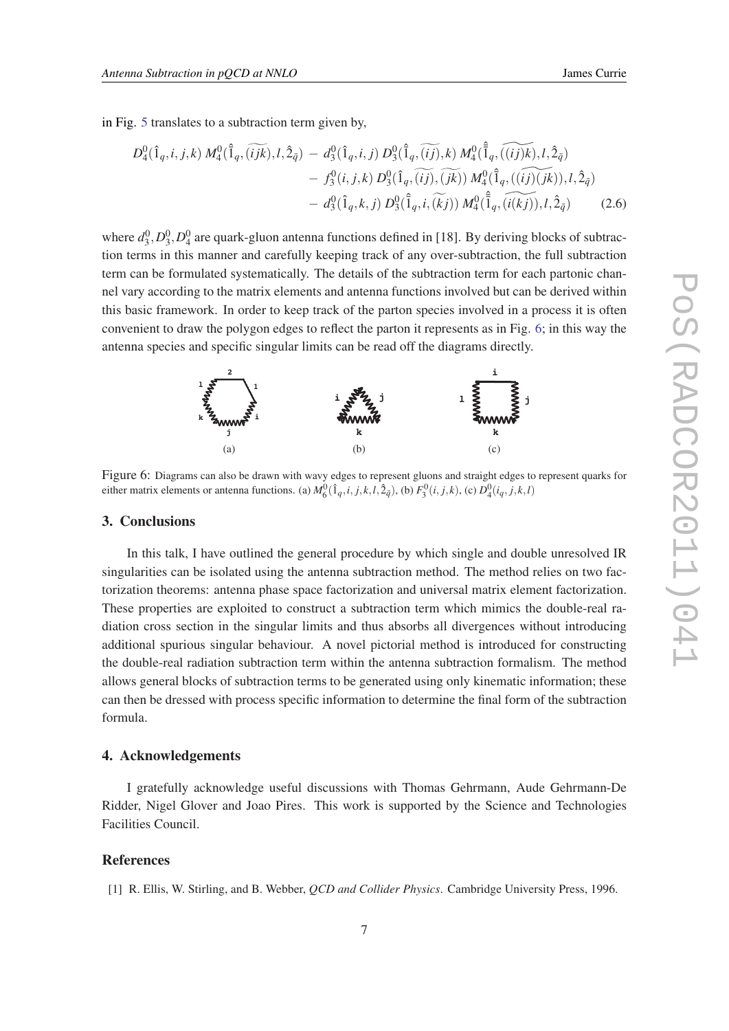in Fig. [5](#page-5-0) translates to a subtraction term given by,

$$
D_4^0(\hat{1}_q, i, j, k) M_4^0(\hat{1}_q, (\widetilde{ijk}), l, \hat{2}_{\bar{q}}) - d_3^0(\hat{1}_q, i, j) D_3^0(\hat{1}_q, (\widetilde{ij}), k) M_4^0(\hat{1}_q, (\widetilde{ijk}), l, \hat{2}_{\bar{q}}) - f_3^0(i, j, k) D_3^0(\hat{1}_q, (\widetilde{ij}), (\widetilde{jk})) M_4^0(\hat{1}_q, ((\widetilde{ij})(jk)), l, \hat{2}_{\bar{q}}) - d_3^0(\hat{1}_q, k, j) D_3^0(\hat{1}_q, i, (\widetilde{k}j)) M_4^0(\hat{1}_q, (\widetilde{ik}j)), l, \hat{2}_{\bar{q}})
$$
(2.6)

where  $d_3^0$ ,  $D_3^0$ ,  $D_4^0$  are quark-gluon antenna functions defined in [18]. By deriving blocks of subtraction terms in this manner and carefully keeping track of any over-subtraction, the full subtraction term can be formulated systematically. The details of the subtraction term for each partonic channel vary according to the matrix elements and antenna functions involved but can be derived within this basic framework. In order to keep track of the parton species involved in a process it is often convenient to draw the polygon edges to reflect the parton it represents as in Fig. 6; in this way the antenna species and specific singular limits can be read off the diagrams directly.



Figure 6: Diagrams can also be drawn with wavy edges to represent gluons and straight edges to represent quarks for either matrix elements or antenna functions. (a)  $M_6^0(1_q,i,j,k,l,\hat{2}_{\bar{q}})$ , (b)  $F_3^0(i,j,k)$ , (c)  $D_4^0(i_q,j,k,l)$ 

#### 3. Conclusions

In this talk, I have outlined the general procedure by which single and double unresolved IR singularities can be isolated using the antenna subtraction method. The method relies on two factorization theorems: antenna phase space factorization and universal matrix element factorization. These properties are exploited to construct a subtraction term which mimics the double-real radiation cross section in the singular limits and thus absorbs all divergences without introducing additional spurious singular behaviour. A novel pictorial method is introduced for constructing the double-real radiation subtraction term within the antenna subtraction formalism. The method allows general blocks of subtraction terms to be generated using only kinematic information; these can then be dressed with process specific information to determine the final form of the subtraction formula.

## 4. Acknowledgements

I gratefully acknowledge useful discussions with Thomas Gehrmann, Aude Gehrmann-De Ridder, Nigel Glover and Joao Pires. This work is supported by the Science and Technologies Facilities Council.

#### References

[1] R. Ellis, W. Stirling, and B. Webber, *QCD and Collider Physics*. Cambridge University Press, 1996.